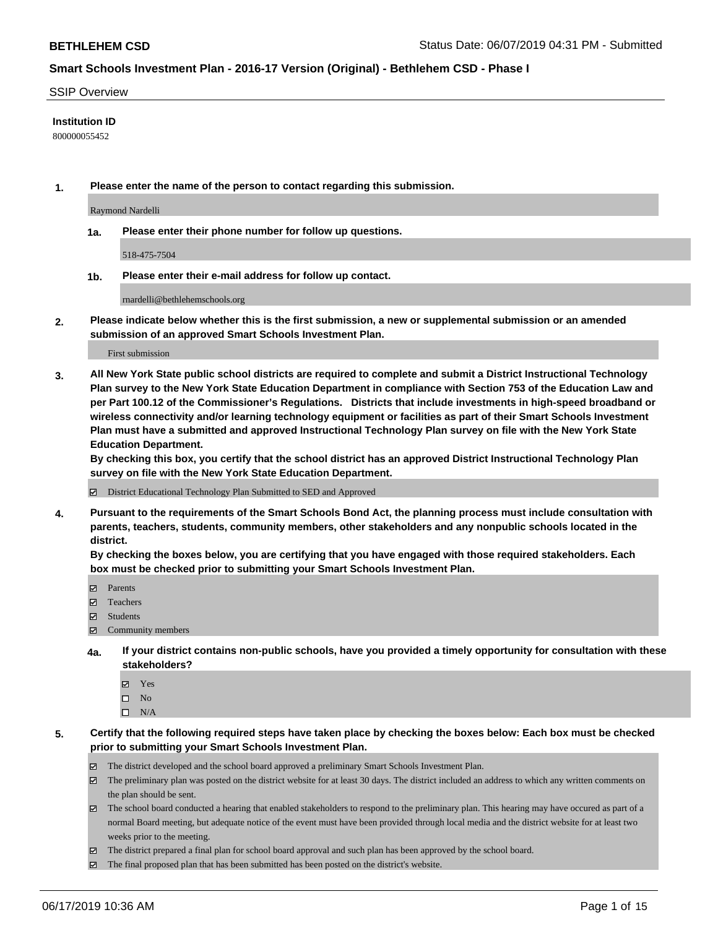#### SSIP Overview

### **Institution ID**

800000055452

**1. Please enter the name of the person to contact regarding this submission.**

Raymond Nardelli

**1a. Please enter their phone number for follow up questions.**

518-475-7504

**1b. Please enter their e-mail address for follow up contact.**

rnardelli@bethlehemschools.org

**2. Please indicate below whether this is the first submission, a new or supplemental submission or an amended submission of an approved Smart Schools Investment Plan.**

First submission

**3. All New York State public school districts are required to complete and submit a District Instructional Technology Plan survey to the New York State Education Department in compliance with Section 753 of the Education Law and per Part 100.12 of the Commissioner's Regulations. Districts that include investments in high-speed broadband or wireless connectivity and/or learning technology equipment or facilities as part of their Smart Schools Investment Plan must have a submitted and approved Instructional Technology Plan survey on file with the New York State Education Department.** 

**By checking this box, you certify that the school district has an approved District Instructional Technology Plan survey on file with the New York State Education Department.**

District Educational Technology Plan Submitted to SED and Approved

**4. Pursuant to the requirements of the Smart Schools Bond Act, the planning process must include consultation with parents, teachers, students, community members, other stakeholders and any nonpublic schools located in the district.** 

**By checking the boxes below, you are certifying that you have engaged with those required stakeholders. Each box must be checked prior to submitting your Smart Schools Investment Plan.**

- Parents
- Teachers
- Students
- Community members
- **4a. If your district contains non-public schools, have you provided a timely opportunity for consultation with these stakeholders?**
	- Yes
	- $\square$  No
	- $\square$  N/A

**5. Certify that the following required steps have taken place by checking the boxes below: Each box must be checked prior to submitting your Smart Schools Investment Plan.**

- The district developed and the school board approved a preliminary Smart Schools Investment Plan.
- $\boxtimes$  The preliminary plan was posted on the district website for at least 30 days. The district included an address to which any written comments on the plan should be sent.
- $\boxtimes$  The school board conducted a hearing that enabled stakeholders to respond to the preliminary plan. This hearing may have occured as part of a normal Board meeting, but adequate notice of the event must have been provided through local media and the district website for at least two weeks prior to the meeting.
- The district prepared a final plan for school board approval and such plan has been approved by the school board.
- $\boxtimes$  The final proposed plan that has been submitted has been posted on the district's website.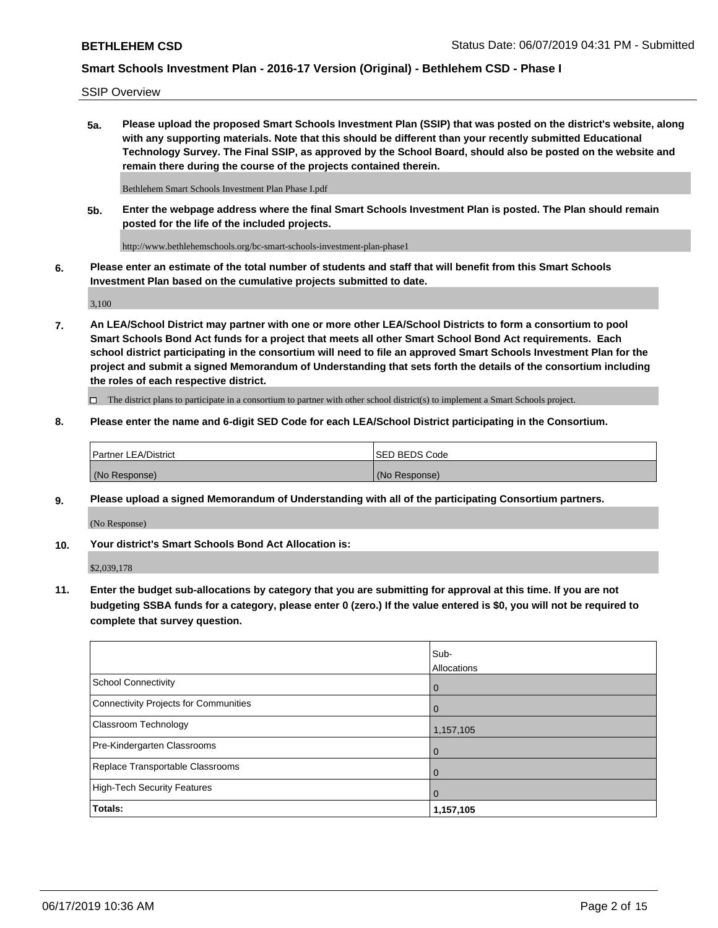SSIP Overview

**5a. Please upload the proposed Smart Schools Investment Plan (SSIP) that was posted on the district's website, along with any supporting materials. Note that this should be different than your recently submitted Educational Technology Survey. The Final SSIP, as approved by the School Board, should also be posted on the website and remain there during the course of the projects contained therein.**

Bethlehem Smart Schools Investment Plan Phase I.pdf

**5b. Enter the webpage address where the final Smart Schools Investment Plan is posted. The Plan should remain posted for the life of the included projects.**

http://www.bethlehemschools.org/bc-smart-schools-investment-plan-phase1

**6. Please enter an estimate of the total number of students and staff that will benefit from this Smart Schools Investment Plan based on the cumulative projects submitted to date.**

3,100

**7. An LEA/School District may partner with one or more other LEA/School Districts to form a consortium to pool Smart Schools Bond Act funds for a project that meets all other Smart School Bond Act requirements. Each school district participating in the consortium will need to file an approved Smart Schools Investment Plan for the project and submit a signed Memorandum of Understanding that sets forth the details of the consortium including the roles of each respective district.**

 $\Box$  The district plans to participate in a consortium to partner with other school district(s) to implement a Smart Schools project.

### **8. Please enter the name and 6-digit SED Code for each LEA/School District participating in the Consortium.**

| Partner LEA/District | <b>ISED BEDS Code</b> |
|----------------------|-----------------------|
| (No Response)        | (No Response)         |

### **9. Please upload a signed Memorandum of Understanding with all of the participating Consortium partners.**

(No Response)

**10. Your district's Smart Schools Bond Act Allocation is:**

\$2,039,178

**11. Enter the budget sub-allocations by category that you are submitting for approval at this time. If you are not budgeting SSBA funds for a category, please enter 0 (zero.) If the value entered is \$0, you will not be required to complete that survey question.**

|                                       | Sub-<br><b>Allocations</b> |
|---------------------------------------|----------------------------|
| School Connectivity                   | l 0                        |
| Connectivity Projects for Communities | $\overline{0}$             |
| <b>Classroom Technology</b>           | 1,157,105                  |
| Pre-Kindergarten Classrooms           | $\overline{0}$             |
| Replace Transportable Classrooms      | $\Omega$                   |
| High-Tech Security Features           | $\overline{0}$             |
| Totals:                               | 1,157,105                  |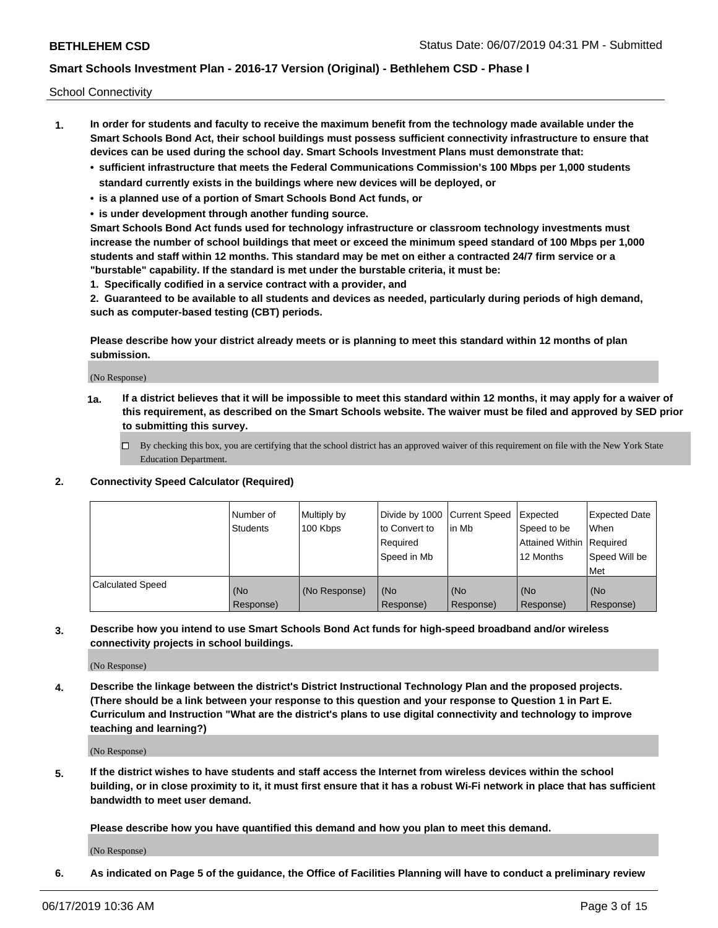School Connectivity

- **1. In order for students and faculty to receive the maximum benefit from the technology made available under the Smart Schools Bond Act, their school buildings must possess sufficient connectivity infrastructure to ensure that devices can be used during the school day. Smart Schools Investment Plans must demonstrate that:**
	- **• sufficient infrastructure that meets the Federal Communications Commission's 100 Mbps per 1,000 students standard currently exists in the buildings where new devices will be deployed, or**
	- **• is a planned use of a portion of Smart Schools Bond Act funds, or**
	- **• is under development through another funding source.**

**Smart Schools Bond Act funds used for technology infrastructure or classroom technology investments must increase the number of school buildings that meet or exceed the minimum speed standard of 100 Mbps per 1,000 students and staff within 12 months. This standard may be met on either a contracted 24/7 firm service or a "burstable" capability. If the standard is met under the burstable criteria, it must be:**

**1. Specifically codified in a service contract with a provider, and**

**2. Guaranteed to be available to all students and devices as needed, particularly during periods of high demand, such as computer-based testing (CBT) periods.**

**Please describe how your district already meets or is planning to meet this standard within 12 months of plan submission.**

(No Response)

**1a. If a district believes that it will be impossible to meet this standard within 12 months, it may apply for a waiver of this requirement, as described on the Smart Schools website. The waiver must be filed and approved by SED prior to submitting this survey.**

 $\Box$  By checking this box, you are certifying that the school district has an approved waiver of this requirement on file with the New York State Education Department.

#### **2. Connectivity Speed Calculator (Required)**

|                         | l Number of<br>Students | Multiply by<br>100 Kbps | Divide by 1000 Current Speed<br>to Convert to<br>Required<br>l Speed in Mb | lin Mb           | Expected<br>Speed to be<br>Attained Within   Required<br>12 Months | <b>Expected Date</b><br>When<br>Speed Will be<br>Met |
|-------------------------|-------------------------|-------------------------|----------------------------------------------------------------------------|------------------|--------------------------------------------------------------------|------------------------------------------------------|
| <b>Calculated Speed</b> | (No<br>Response)        | (No Response)           | (No<br>Response)                                                           | (No<br>Response) | (No<br>Response)                                                   | (No<br>Response)                                     |

**3. Describe how you intend to use Smart Schools Bond Act funds for high-speed broadband and/or wireless connectivity projects in school buildings.**

(No Response)

**4. Describe the linkage between the district's District Instructional Technology Plan and the proposed projects. (There should be a link between your response to this question and your response to Question 1 in Part E. Curriculum and Instruction "What are the district's plans to use digital connectivity and technology to improve teaching and learning?)**

(No Response)

**5. If the district wishes to have students and staff access the Internet from wireless devices within the school building, or in close proximity to it, it must first ensure that it has a robust Wi-Fi network in place that has sufficient bandwidth to meet user demand.**

**Please describe how you have quantified this demand and how you plan to meet this demand.**

(No Response)

**6. As indicated on Page 5 of the guidance, the Office of Facilities Planning will have to conduct a preliminary review**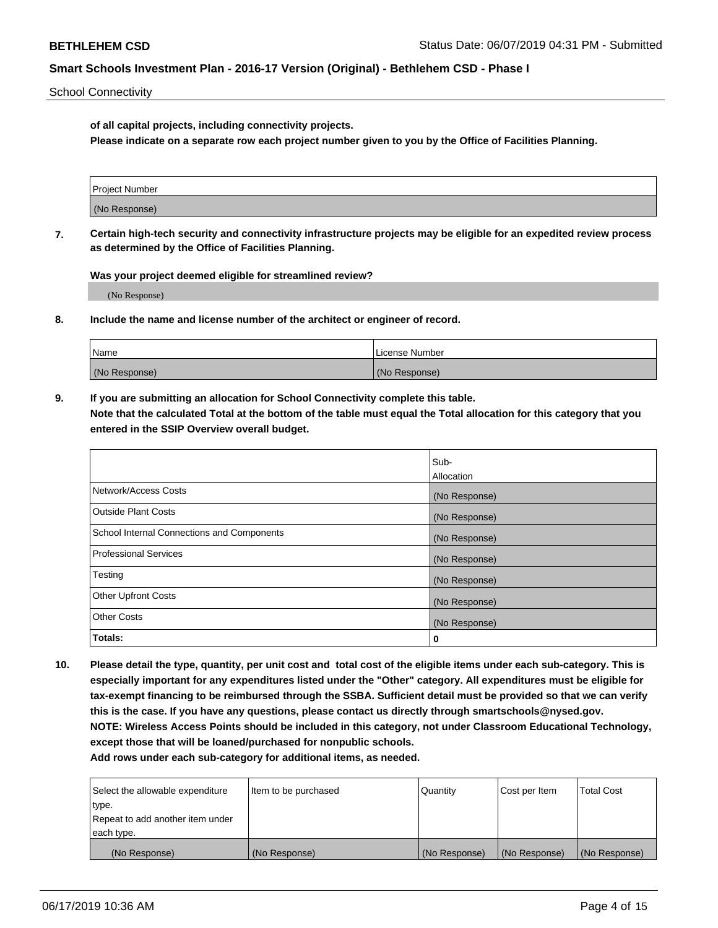School Connectivity

**of all capital projects, including connectivity projects.**

**Please indicate on a separate row each project number given to you by the Office of Facilities Planning.**

| Project Number |  |
|----------------|--|
|                |  |
| (No Response)  |  |
|                |  |

**7. Certain high-tech security and connectivity infrastructure projects may be eligible for an expedited review process as determined by the Office of Facilities Planning.**

**Was your project deemed eligible for streamlined review?**

(No Response)

**8. Include the name and license number of the architect or engineer of record.**

| Name          | License Number |
|---------------|----------------|
| (No Response) | (No Response)  |

**9. If you are submitting an allocation for School Connectivity complete this table. Note that the calculated Total at the bottom of the table must equal the Total allocation for this category that you entered in the SSIP Overview overall budget.** 

|                                            | Sub-          |
|--------------------------------------------|---------------|
|                                            | Allocation    |
| Network/Access Costs                       | (No Response) |
| Outside Plant Costs                        | (No Response) |
| School Internal Connections and Components | (No Response) |
| <b>Professional Services</b>               | (No Response) |
| Testing                                    | (No Response) |
| <b>Other Upfront Costs</b>                 | (No Response) |
| <b>Other Costs</b>                         | (No Response) |
| Totals:                                    | 0             |

**10. Please detail the type, quantity, per unit cost and total cost of the eligible items under each sub-category. This is especially important for any expenditures listed under the "Other" category. All expenditures must be eligible for tax-exempt financing to be reimbursed through the SSBA. Sufficient detail must be provided so that we can verify this is the case. If you have any questions, please contact us directly through smartschools@nysed.gov. NOTE: Wireless Access Points should be included in this category, not under Classroom Educational Technology, except those that will be loaned/purchased for nonpublic schools.**

| Select the allowable expenditure | Item to be purchased | Quantity      | <b>Cost per Item</b> | <b>Total Cost</b> |
|----------------------------------|----------------------|---------------|----------------------|-------------------|
| type.                            |                      |               |                      |                   |
| Repeat to add another item under |                      |               |                      |                   |
| each type.                       |                      |               |                      |                   |
| (No Response)                    | (No Response)        | (No Response) | (No Response)        | (No Response)     |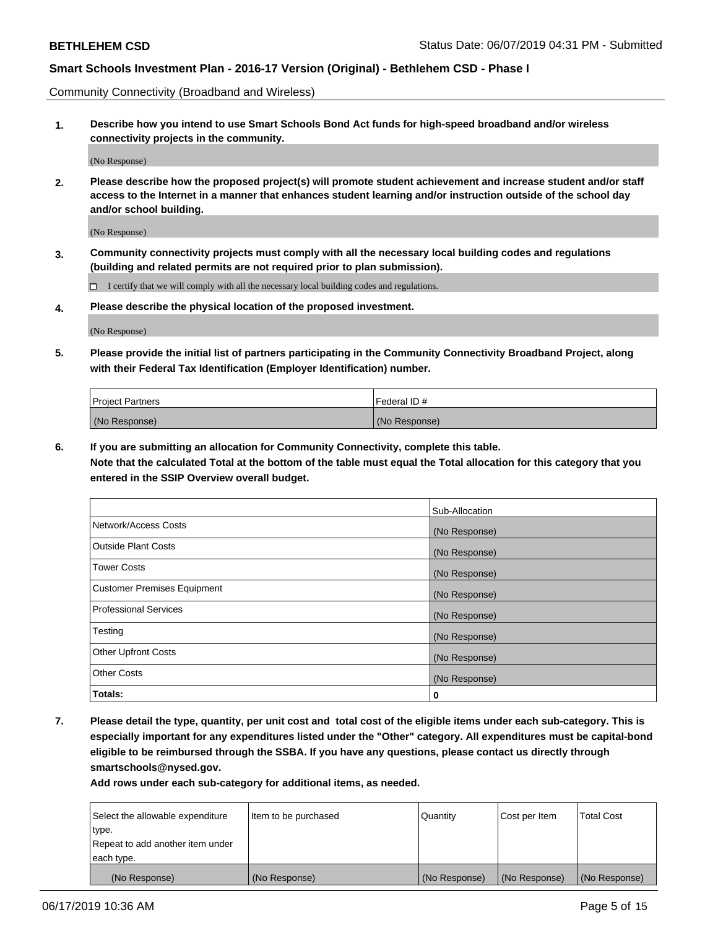Community Connectivity (Broadband and Wireless)

**1. Describe how you intend to use Smart Schools Bond Act funds for high-speed broadband and/or wireless connectivity projects in the community.**

(No Response)

**2. Please describe how the proposed project(s) will promote student achievement and increase student and/or staff access to the Internet in a manner that enhances student learning and/or instruction outside of the school day and/or school building.**

(No Response)

**3. Community connectivity projects must comply with all the necessary local building codes and regulations (building and related permits are not required prior to plan submission).**

 $\Box$  I certify that we will comply with all the necessary local building codes and regulations.

**4. Please describe the physical location of the proposed investment.**

(No Response)

**5. Please provide the initial list of partners participating in the Community Connectivity Broadband Project, along with their Federal Tax Identification (Employer Identification) number.**

| <b>Project Partners</b> | Federal ID#   |
|-------------------------|---------------|
| (No Response)           | (No Response) |

**6. If you are submitting an allocation for Community Connectivity, complete this table.**

**Note that the calculated Total at the bottom of the table must equal the Total allocation for this category that you entered in the SSIP Overview overall budget.**

|                                    | Sub-Allocation |
|------------------------------------|----------------|
| Network/Access Costs               | (No Response)  |
| <b>Outside Plant Costs</b>         | (No Response)  |
| <b>Tower Costs</b>                 | (No Response)  |
| <b>Customer Premises Equipment</b> | (No Response)  |
| <b>Professional Services</b>       | (No Response)  |
| Testing                            | (No Response)  |
| <b>Other Upfront Costs</b>         | (No Response)  |
| <b>Other Costs</b>                 | (No Response)  |
| Totals:                            | 0              |

**7. Please detail the type, quantity, per unit cost and total cost of the eligible items under each sub-category. This is especially important for any expenditures listed under the "Other" category. All expenditures must be capital-bond eligible to be reimbursed through the SSBA. If you have any questions, please contact us directly through smartschools@nysed.gov.**

| Select the allowable expenditure | Item to be purchased | Quantity      | Cost per Item | <b>Total Cost</b> |
|----------------------------------|----------------------|---------------|---------------|-------------------|
| type.                            |                      |               |               |                   |
| Repeat to add another item under |                      |               |               |                   |
| each type.                       |                      |               |               |                   |
| (No Response)                    | (No Response)        | (No Response) | (No Response) | (No Response)     |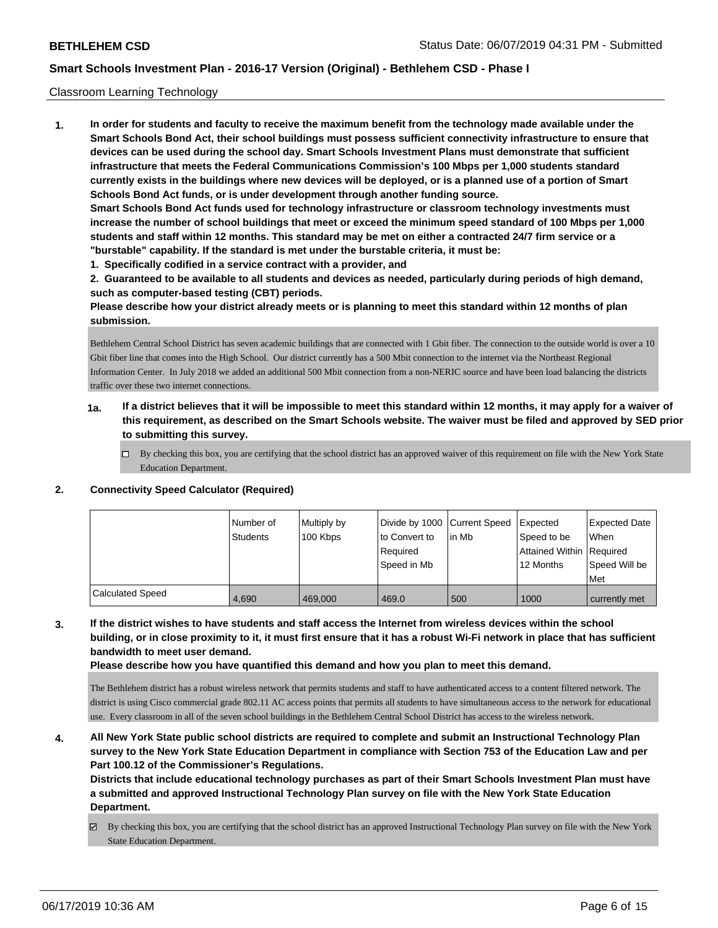### Classroom Learning Technology

**1. In order for students and faculty to receive the maximum benefit from the technology made available under the Smart Schools Bond Act, their school buildings must possess sufficient connectivity infrastructure to ensure that devices can be used during the school day. Smart Schools Investment Plans must demonstrate that sufficient infrastructure that meets the Federal Communications Commission's 100 Mbps per 1,000 students standard currently exists in the buildings where new devices will be deployed, or is a planned use of a portion of Smart Schools Bond Act funds, or is under development through another funding source. Smart Schools Bond Act funds used for technology infrastructure or classroom technology investments must increase the number of school buildings that meet or exceed the minimum speed standard of 100 Mbps per 1,000 students and staff within 12 months. This standard may be met on either a contracted 24/7 firm service or a "burstable" capability. If the standard is met under the burstable criteria, it must be:**

**1. Specifically codified in a service contract with a provider, and**

**2. Guaranteed to be available to all students and devices as needed, particularly during periods of high demand, such as computer-based testing (CBT) periods.**

**Please describe how your district already meets or is planning to meet this standard within 12 months of plan submission.**

Bethlehem Central School District has seven academic buildings that are connected with 1 Gbit fiber. The connection to the outside world is over a 10 Gbit fiber line that comes into the High School. Our district currently has a 500 Mbit connection to the internet via the Northeast Regional Information Center. In July 2018 we added an additional 500 Mbit connection from a non-NERIC source and have been load balancing the districts traffic over these two internet connections.

- **1a. If a district believes that it will be impossible to meet this standard within 12 months, it may apply for a waiver of this requirement, as described on the Smart Schools website. The waiver must be filed and approved by SED prior to submitting this survey.**
	- By checking this box, you are certifying that the school district has an approved waiver of this requirement on file with the New York State Education Department.

#### **2. Connectivity Speed Calculator (Required)**

|                  | Number of<br><b>Students</b> | Multiply by<br>100 Kbps | Divide by 1000 Current Speed<br>to Convert to<br>l Reauired<br>Speed in Mb | l in Mb | Expected<br>Speed to be<br>Attained Within   Required<br>12 Months | <b>Expected Date</b><br><b>When</b><br>Speed Will be<br>Met |
|------------------|------------------------------|-------------------------|----------------------------------------------------------------------------|---------|--------------------------------------------------------------------|-------------------------------------------------------------|
| Calculated Speed | 4.690                        | 469,000                 | 469.0                                                                      | 500     | 1000                                                               | currently met                                               |

**3. If the district wishes to have students and staff access the Internet from wireless devices within the school building, or in close proximity to it, it must first ensure that it has a robust Wi-Fi network in place that has sufficient bandwidth to meet user demand.**

**Please describe how you have quantified this demand and how you plan to meet this demand.**

The Bethlehem district has a robust wireless network that permits students and staff to have authenticated access to a content filtered network. The district is using Cisco commercial grade 802.11 AC access points that permits all students to have simultaneous access to the network for educational use. Every classroom in all of the seven school buildings in the Bethlehem Central School District has access to the wireless network.

**4. All New York State public school districts are required to complete and submit an Instructional Technology Plan survey to the New York State Education Department in compliance with Section 753 of the Education Law and per Part 100.12 of the Commissioner's Regulations.**

**Districts that include educational technology purchases as part of their Smart Schools Investment Plan must have a submitted and approved Instructional Technology Plan survey on file with the New York State Education Department.**

By checking this box, you are certifying that the school district has an approved Instructional Technology Plan survey on file with the New York State Education Department.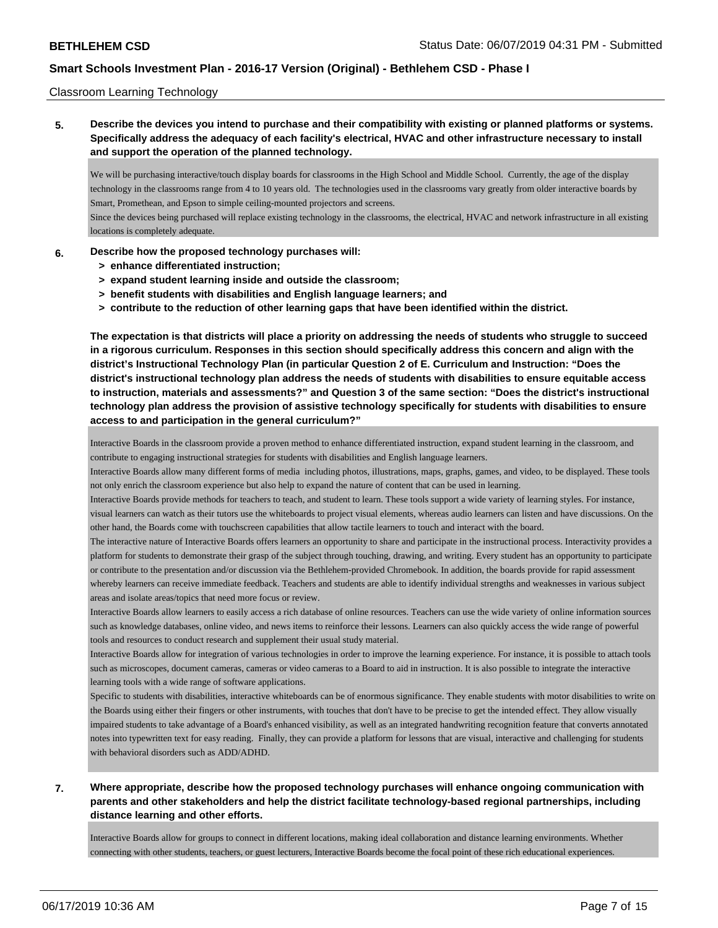### Classroom Learning Technology

**5. Describe the devices you intend to purchase and their compatibility with existing or planned platforms or systems. Specifically address the adequacy of each facility's electrical, HVAC and other infrastructure necessary to install and support the operation of the planned technology.**

We will be purchasing interactive/touch display boards for classrooms in the High School and Middle School. Currently, the age of the display technology in the classrooms range from 4 to 10 years old. The technologies used in the classrooms vary greatly from older interactive boards by Smart, Promethean, and Epson to simple ceiling-mounted projectors and screens.

Since the devices being purchased will replace existing technology in the classrooms, the electrical, HVAC and network infrastructure in all existing locations is completely adequate.

#### **6. Describe how the proposed technology purchases will:**

- **> enhance differentiated instruction;**
- **> expand student learning inside and outside the classroom;**
- **> benefit students with disabilities and English language learners; and**
- **> contribute to the reduction of other learning gaps that have been identified within the district.**

**The expectation is that districts will place a priority on addressing the needs of students who struggle to succeed in a rigorous curriculum. Responses in this section should specifically address this concern and align with the district's Instructional Technology Plan (in particular Question 2 of E. Curriculum and Instruction: "Does the district's instructional technology plan address the needs of students with disabilities to ensure equitable access to instruction, materials and assessments?" and Question 3 of the same section: "Does the district's instructional technology plan address the provision of assistive technology specifically for students with disabilities to ensure access to and participation in the general curriculum?"**

Interactive Boards in the classroom provide a proven method to enhance differentiated instruction, expand student learning in the classroom, and contribute to engaging instructional strategies for students with disabilities and English language learners.

Interactive Boards allow many different forms of media including photos, illustrations, maps, graphs, games, and video, to be displayed. These tools not only enrich the classroom experience but also help to expand the nature of content that can be used in learning.

Interactive Boards provide methods for teachers to teach, and student to learn. These tools support a wide variety of learning styles. For instance, visual learners can watch as their tutors use the whiteboards to project visual elements, whereas audio learners can listen and have discussions. On the other hand, the Boards come with touchscreen capabilities that allow tactile learners to touch and interact with the board.

The interactive nature of Interactive Boards offers learners an opportunity to share and participate in the instructional process. Interactivity provides a platform for students to demonstrate their grasp of the subject through touching, drawing, and writing. Every student has an opportunity to participate or contribute to the presentation and/or discussion via the Bethlehem-provided Chromebook. In addition, the boards provide for rapid assessment whereby learners can receive immediate feedback. Teachers and students are able to identify individual strengths and weaknesses in various subject areas and isolate areas/topics that need more focus or review.

Interactive Boards allow learners to easily access a rich database of online resources. Teachers can use the wide variety of online information sources such as knowledge databases, online video, and news items to reinforce their lessons. Learners can also quickly access the wide range of powerful tools and resources to conduct research and supplement their usual study material.

Interactive Boards allow for integration of various technologies in order to improve the learning experience. For instance, it is possible to attach tools such as microscopes, document cameras, cameras or video cameras to a Board to aid in instruction. It is also possible to integrate the interactive learning tools with a wide range of software applications.

Specific to students with disabilities, interactive whiteboards can be of enormous significance. They enable students with motor disabilities to write on the Boards using either their fingers or other instruments, with touches that don't have to be precise to get the intended effect. They allow visually impaired students to take advantage of a Board's enhanced visibility, as well as an integrated handwriting recognition feature that converts annotated notes into typewritten text for easy reading. Finally, they can provide a platform for lessons that are visual, interactive and challenging for students with behavioral disorders such as ADD/ADHD.

## **7. Where appropriate, describe how the proposed technology purchases will enhance ongoing communication with parents and other stakeholders and help the district facilitate technology-based regional partnerships, including distance learning and other efforts.**

Interactive Boards allow for groups to connect in different locations, making ideal collaboration and distance learning environments. Whether connecting with other students, teachers, or guest lecturers, Interactive Boards become the focal point of these rich educational experiences.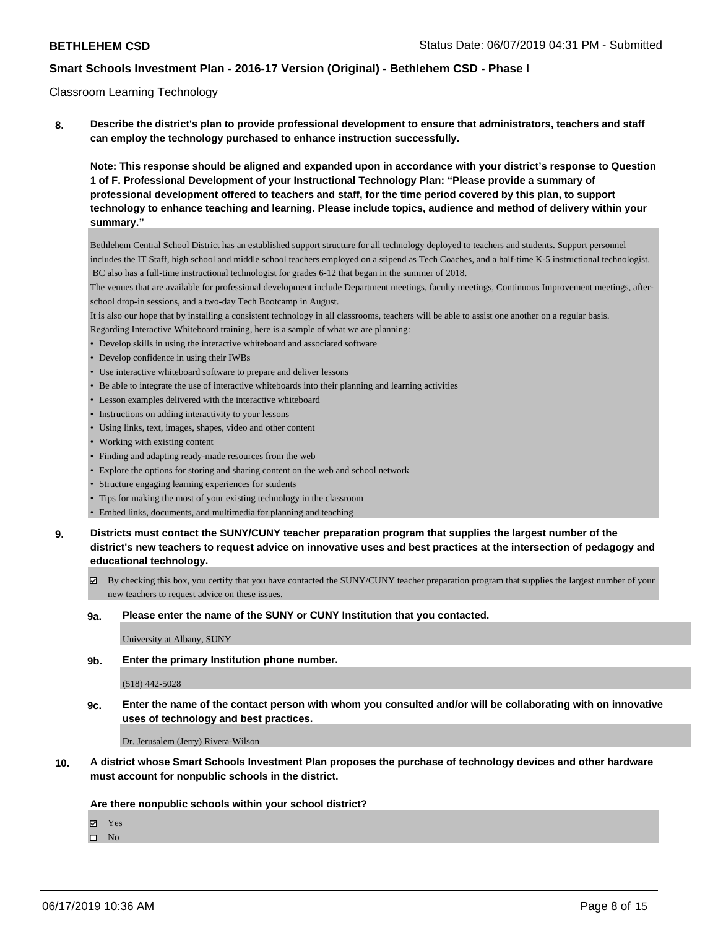### Classroom Learning Technology

**8. Describe the district's plan to provide professional development to ensure that administrators, teachers and staff can employ the technology purchased to enhance instruction successfully.**

**Note: This response should be aligned and expanded upon in accordance with your district's response to Question 1 of F. Professional Development of your Instructional Technology Plan: "Please provide a summary of professional development offered to teachers and staff, for the time period covered by this plan, to support technology to enhance teaching and learning. Please include topics, audience and method of delivery within your summary."**

Bethlehem Central School District has an established support structure for all technology deployed to teachers and students. Support personnel includes the IT Staff, high school and middle school teachers employed on a stipend as Tech Coaches, and a half-time K-5 instructional technologist. BC also has a full-time instructional technologist for grades 6-12 that began in the summer of 2018.

The venues that are available for professional development include Department meetings, faculty meetings, Continuous Improvement meetings, afterschool drop-in sessions, and a two-day Tech Bootcamp in August.

It is also our hope that by installing a consistent technology in all classrooms, teachers will be able to assist one another on a regular basis.

Regarding Interactive Whiteboard training, here is a sample of what we are planning:

- Develop skills in using the interactive whiteboard and associated software
- Develop confidence in using their IWBs
- Use interactive whiteboard software to prepare and deliver lessons
- Be able to integrate the use of interactive whiteboards into their planning and learning activities
- Lesson examples delivered with the interactive whiteboard
- Instructions on adding interactivity to your lessons
- Using links, text, images, shapes, video and other content
- Working with existing content
- Finding and adapting ready-made resources from the web
- Explore the options for storing and sharing content on the web and school network
- Structure engaging learning experiences for students
- Tips for making the most of your existing technology in the classroom
- Embed links, documents, and multimedia for planning and teaching
- **9. Districts must contact the SUNY/CUNY teacher preparation program that supplies the largest number of the district's new teachers to request advice on innovative uses and best practices at the intersection of pedagogy and educational technology.**
	- By checking this box, you certify that you have contacted the SUNY/CUNY teacher preparation program that supplies the largest number of your new teachers to request advice on these issues.

#### **9a. Please enter the name of the SUNY or CUNY Institution that you contacted.**

University at Albany, SUNY

**9b. Enter the primary Institution phone number.**

#### (518) 442-5028

**9c. Enter the name of the contact person with whom you consulted and/or will be collaborating with on innovative uses of technology and best practices.**

Dr. Jerusalem (Jerry) Rivera-Wilson

**10. A district whose Smart Schools Investment Plan proposes the purchase of technology devices and other hardware must account for nonpublic schools in the district.**

#### **Are there nonpublic schools within your school district?**

Yes

 $\hfill \square$  No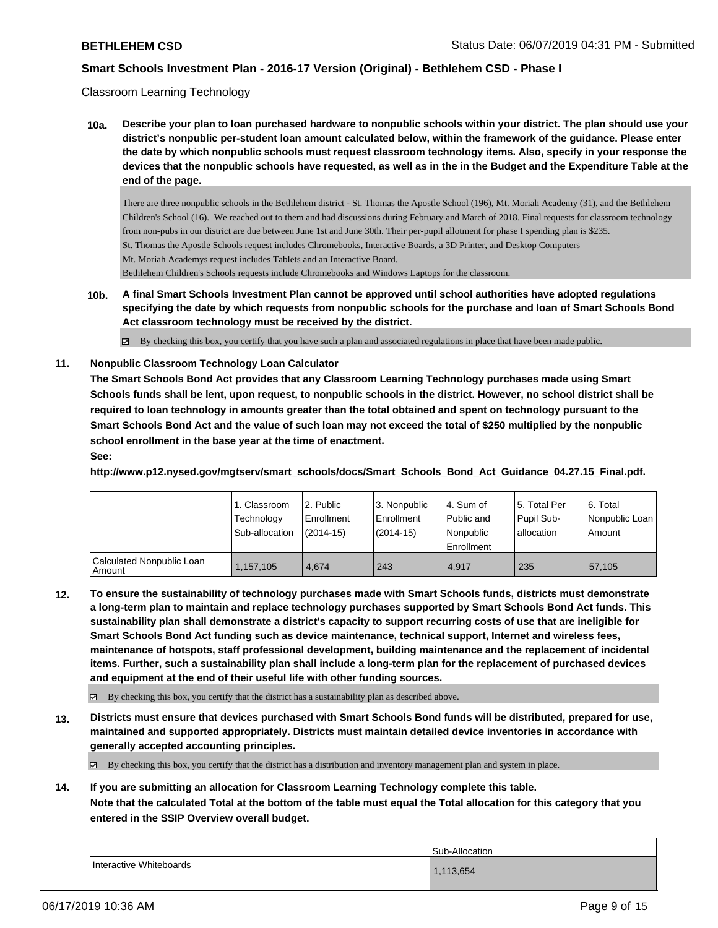### Classroom Learning Technology

**10a. Describe your plan to loan purchased hardware to nonpublic schools within your district. The plan should use your district's nonpublic per-student loan amount calculated below, within the framework of the guidance. Please enter the date by which nonpublic schools must request classroom technology items. Also, specify in your response the devices that the nonpublic schools have requested, as well as in the in the Budget and the Expenditure Table at the end of the page.**

There are three nonpublic schools in the Bethlehem district - St. Thomas the Apostle School (196), Mt. Moriah Academy (31), and the Bethlehem Children's School (16). We reached out to them and had discussions during February and March of 2018. Final requests for classroom technology from non-pubs in our district are due between June 1st and June 30th. Their per-pupil allotment for phase I spending plan is \$235. St. Thomas the Apostle Schools request includes Chromebooks, Interactive Boards, a 3D Printer, and Desktop Computers Mt. Moriah Academys request includes Tablets and an Interactive Board. Bethlehem Children's Schools requests include Chromebooks and Windows Laptops for the classroom.

**10b. A final Smart Schools Investment Plan cannot be approved until school authorities have adopted regulations specifying the date by which requests from nonpublic schools for the purchase and loan of Smart Schools Bond Act classroom technology must be received by the district.**

By checking this box, you certify that you have such a plan and associated regulations in place that have been made public.

### **11. Nonpublic Classroom Technology Loan Calculator**

**The Smart Schools Bond Act provides that any Classroom Learning Technology purchases made using Smart Schools funds shall be lent, upon request, to nonpublic schools in the district. However, no school district shall be required to loan technology in amounts greater than the total obtained and spent on technology pursuant to the Smart Schools Bond Act and the value of such loan may not exceed the total of \$250 multiplied by the nonpublic school enrollment in the base year at the time of enactment. See:**

**http://www.p12.nysed.gov/mgtserv/smart\_schools/docs/Smart\_Schools\_Bond\_Act\_Guidance\_04.27.15\_Final.pdf.**

|                                       | 1. Classroom<br>Technology<br>Sub-allocation | l 2. Public<br>l Enrollment<br>$(2014 - 15)$ | 3. Nonpublic<br>Enrollment<br>$(2014-15)$ | l 4. Sum of<br>Public and<br>l Nonpublic<br>Enrollment | 15. Total Per<br>Pupil Sub-<br>lallocation | 16. Total<br>  Nonpublic Loan  <br>Amount |
|---------------------------------------|----------------------------------------------|----------------------------------------------|-------------------------------------------|--------------------------------------------------------|--------------------------------------------|-------------------------------------------|
| Calculated Nonpublic Loan<br>l Amount | 1,157,105                                    | 4.674                                        | 243                                       | 4.917                                                  | 235                                        | 57,105                                    |

**12. To ensure the sustainability of technology purchases made with Smart Schools funds, districts must demonstrate a long-term plan to maintain and replace technology purchases supported by Smart Schools Bond Act funds. This sustainability plan shall demonstrate a district's capacity to support recurring costs of use that are ineligible for Smart Schools Bond Act funding such as device maintenance, technical support, Internet and wireless fees, maintenance of hotspots, staff professional development, building maintenance and the replacement of incidental items. Further, such a sustainability plan shall include a long-term plan for the replacement of purchased devices and equipment at the end of their useful life with other funding sources.**

By checking this box, you certify that the district has a sustainability plan as described above.

**13. Districts must ensure that devices purchased with Smart Schools Bond funds will be distributed, prepared for use, maintained and supported appropriately. Districts must maintain detailed device inventories in accordance with generally accepted accounting principles.**

By checking this box, you certify that the district has a distribution and inventory management plan and system in place.

**14. If you are submitting an allocation for Classroom Learning Technology complete this table. Note that the calculated Total at the bottom of the table must equal the Total allocation for this category that you entered in the SSIP Overview overall budget.**

|                         | Sub-Allocation |
|-------------------------|----------------|
| Interactive Whiteboards | 1,113,654      |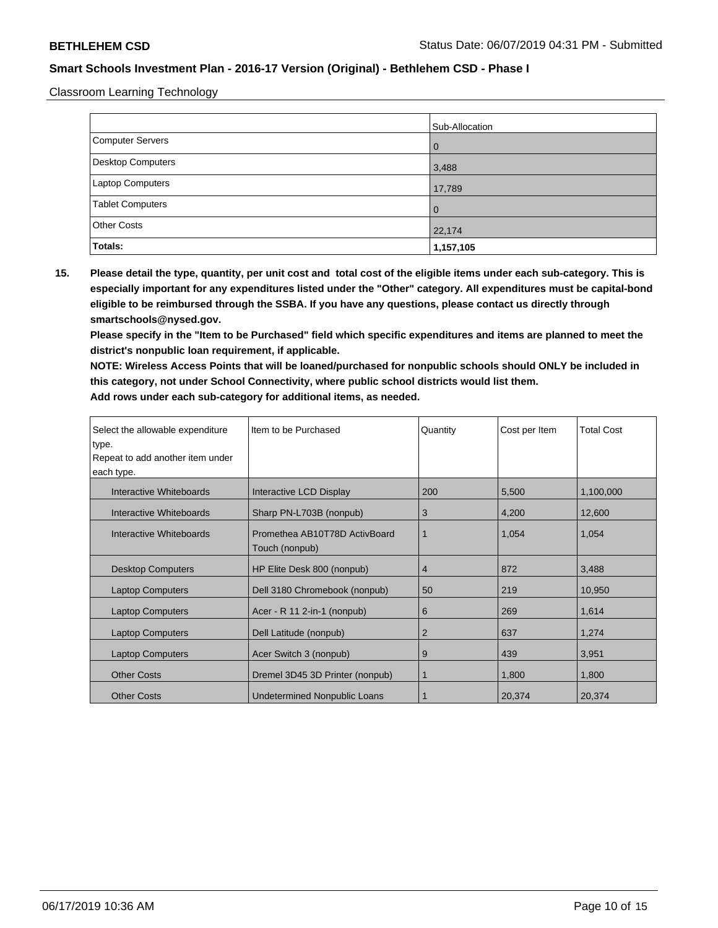Classroom Learning Technology

|                         | Sub-Allocation |
|-------------------------|----------------|
| Computer Servers        | l 0            |
| Desktop Computers       | 3,488          |
| <b>Laptop Computers</b> | 17,789         |
| Tablet Computers        | l O            |
| <b>Other Costs</b>      | 22,174         |
| Totals:                 | 1,157,105      |

**15. Please detail the type, quantity, per unit cost and total cost of the eligible items under each sub-category. This is especially important for any expenditures listed under the "Other" category. All expenditures must be capital-bond eligible to be reimbursed through the SSBA. If you have any questions, please contact us directly through smartschools@nysed.gov.**

**Please specify in the "Item to be Purchased" field which specific expenditures and items are planned to meet the district's nonpublic loan requirement, if applicable.**

**NOTE: Wireless Access Points that will be loaned/purchased for nonpublic schools should ONLY be included in this category, not under School Connectivity, where public school districts would list them. Add rows under each sub-category for additional items, as needed.**

| Select the allowable expenditure | Item to be Purchased                            | Quantity       | Cost per Item | <b>Total Cost</b> |
|----------------------------------|-------------------------------------------------|----------------|---------------|-------------------|
| type.                            |                                                 |                |               |                   |
| Repeat to add another item under |                                                 |                |               |                   |
| each type.                       |                                                 |                |               |                   |
| Interactive Whiteboards          | Interactive LCD Display                         | 200            | 5,500         | 1,100,000         |
| Interactive Whiteboards          | Sharp PN-L703B (nonpub)                         | 3              | 4,200         | 12,600            |
| Interactive Whiteboards          | Promethea AB10T78D ActivBoard<br>Touch (nonpub) |                | 1,054         | 1,054             |
| <b>Desktop Computers</b>         | HP Elite Desk 800 (nonpub)                      | 4              | 872           | 3,488             |
| <b>Laptop Computers</b>          | Dell 3180 Chromebook (nonpub)                   | 50             | 219           | 10,950            |
| <b>Laptop Computers</b>          | Acer - R 11 2-in-1 (nonpub)                     | 6              | 269           | 1,614             |
| <b>Laptop Computers</b>          | Dell Latitude (nonpub)                          | $\overline{2}$ | 637           | 1,274             |
| <b>Laptop Computers</b>          | Acer Switch 3 (nonpub)                          | 9              | 439           | 3,951             |
| <b>Other Costs</b>               | Dremel 3D45 3D Printer (nonpub)                 |                | 1,800         | 1,800             |
| <b>Other Costs</b>               | Undetermined Nonpublic Loans                    |                | 20,374        | 20,374            |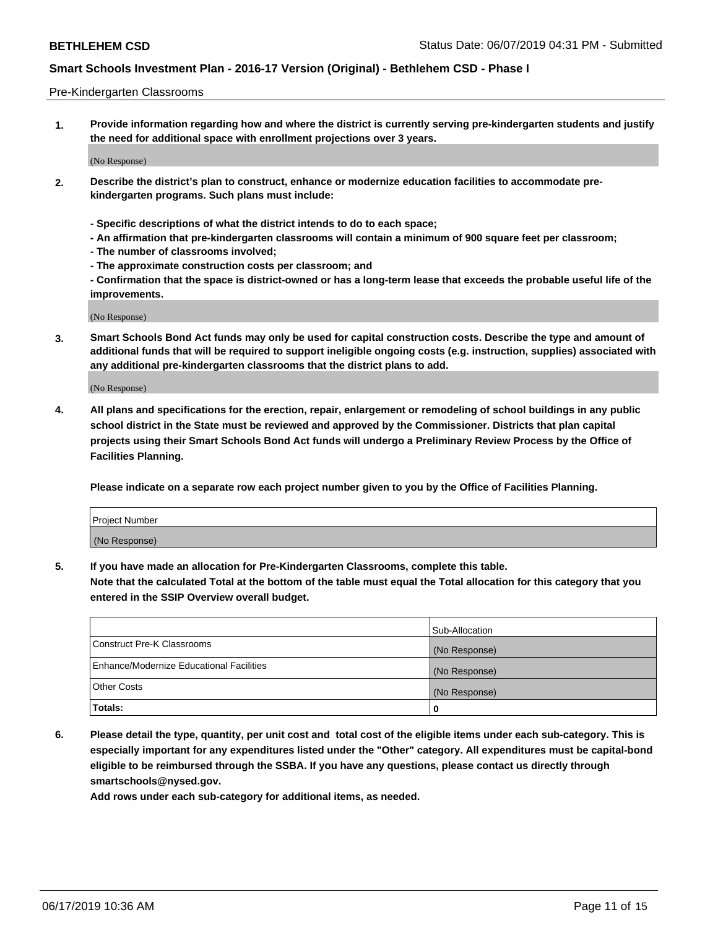### Pre-Kindergarten Classrooms

**1. Provide information regarding how and where the district is currently serving pre-kindergarten students and justify the need for additional space with enrollment projections over 3 years.**

(No Response)

- **2. Describe the district's plan to construct, enhance or modernize education facilities to accommodate prekindergarten programs. Such plans must include:**
	- **Specific descriptions of what the district intends to do to each space;**
	- **An affirmation that pre-kindergarten classrooms will contain a minimum of 900 square feet per classroom;**
	- **The number of classrooms involved;**
	- **The approximate construction costs per classroom; and**
	- **Confirmation that the space is district-owned or has a long-term lease that exceeds the probable useful life of the improvements.**

(No Response)

**3. Smart Schools Bond Act funds may only be used for capital construction costs. Describe the type and amount of additional funds that will be required to support ineligible ongoing costs (e.g. instruction, supplies) associated with any additional pre-kindergarten classrooms that the district plans to add.**

(No Response)

**4. All plans and specifications for the erection, repair, enlargement or remodeling of school buildings in any public school district in the State must be reviewed and approved by the Commissioner. Districts that plan capital projects using their Smart Schools Bond Act funds will undergo a Preliminary Review Process by the Office of Facilities Planning.**

**Please indicate on a separate row each project number given to you by the Office of Facilities Planning.**

| Project Number |  |
|----------------|--|
| (No Response)  |  |
|                |  |

**5. If you have made an allocation for Pre-Kindergarten Classrooms, complete this table.**

**Note that the calculated Total at the bottom of the table must equal the Total allocation for this category that you entered in the SSIP Overview overall budget.**

|                                          | Sub-Allocation |
|------------------------------------------|----------------|
| Construct Pre-K Classrooms               | (No Response)  |
| Enhance/Modernize Educational Facilities | (No Response)  |
| <b>Other Costs</b>                       | (No Response)  |
| Totals:                                  | 0              |

**6. Please detail the type, quantity, per unit cost and total cost of the eligible items under each sub-category. This is especially important for any expenditures listed under the "Other" category. All expenditures must be capital-bond eligible to be reimbursed through the SSBA. If you have any questions, please contact us directly through smartschools@nysed.gov.**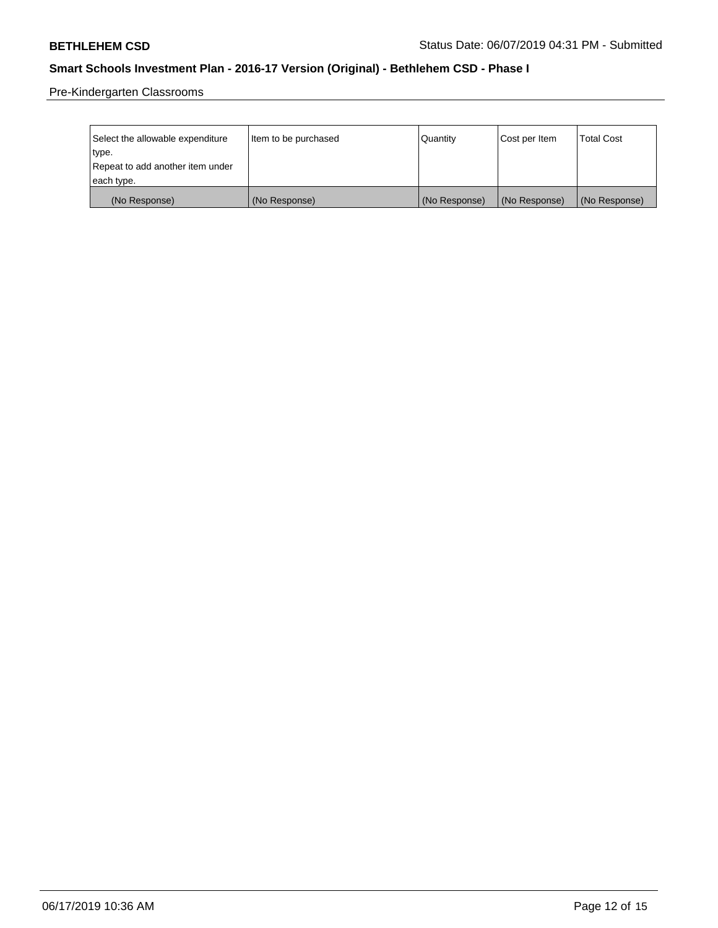Pre-Kindergarten Classrooms

| Select the allowable expenditure | Item to be purchased | Quantity      | Cost per Item | <b>Total Cost</b> |
|----------------------------------|----------------------|---------------|---------------|-------------------|
| type.                            |                      |               |               |                   |
| Repeat to add another item under |                      |               |               |                   |
| each type.                       |                      |               |               |                   |
| (No Response)                    | (No Response)        | (No Response) | (No Response) | (No Response)     |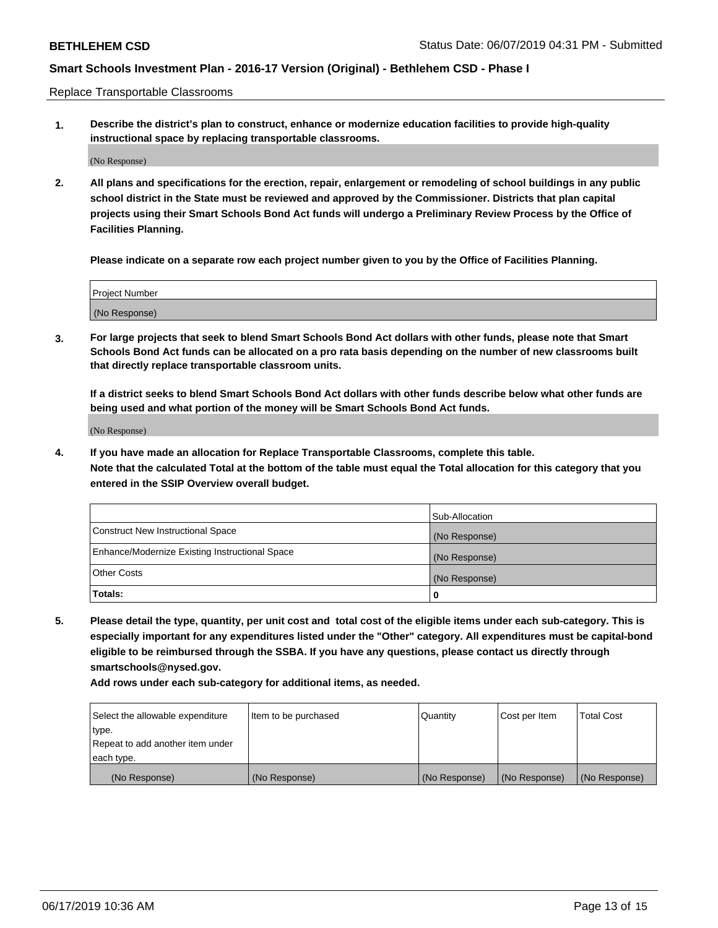Replace Transportable Classrooms

**1. Describe the district's plan to construct, enhance or modernize education facilities to provide high-quality instructional space by replacing transportable classrooms.**

(No Response)

**2. All plans and specifications for the erection, repair, enlargement or remodeling of school buildings in any public school district in the State must be reviewed and approved by the Commissioner. Districts that plan capital projects using their Smart Schools Bond Act funds will undergo a Preliminary Review Process by the Office of Facilities Planning.**

**Please indicate on a separate row each project number given to you by the Office of Facilities Planning.**

| Project Number |  |
|----------------|--|
|                |  |
|                |  |
|                |  |
|                |  |
| (No Response)  |  |
|                |  |
|                |  |
|                |  |

**3. For large projects that seek to blend Smart Schools Bond Act dollars with other funds, please note that Smart Schools Bond Act funds can be allocated on a pro rata basis depending on the number of new classrooms built that directly replace transportable classroom units.**

**If a district seeks to blend Smart Schools Bond Act dollars with other funds describe below what other funds are being used and what portion of the money will be Smart Schools Bond Act funds.**

(No Response)

**4. If you have made an allocation for Replace Transportable Classrooms, complete this table. Note that the calculated Total at the bottom of the table must equal the Total allocation for this category that you entered in the SSIP Overview overall budget.**

|                                                | Sub-Allocation |
|------------------------------------------------|----------------|
| Construct New Instructional Space              | (No Response)  |
| Enhance/Modernize Existing Instructional Space | (No Response)  |
| <b>Other Costs</b>                             | (No Response)  |
| Totals:                                        | 0              |

**5. Please detail the type, quantity, per unit cost and total cost of the eligible items under each sub-category. This is especially important for any expenditures listed under the "Other" category. All expenditures must be capital-bond eligible to be reimbursed through the SSBA. If you have any questions, please contact us directly through smartschools@nysed.gov.**

| Select the allowable expenditure | Item to be purchased | l Quantitv    | Cost per Item | <b>Total Cost</b> |
|----------------------------------|----------------------|---------------|---------------|-------------------|
| type.                            |                      |               |               |                   |
| Repeat to add another item under |                      |               |               |                   |
| each type.                       |                      |               |               |                   |
| (No Response)                    | (No Response)        | (No Response) | (No Response) | (No Response)     |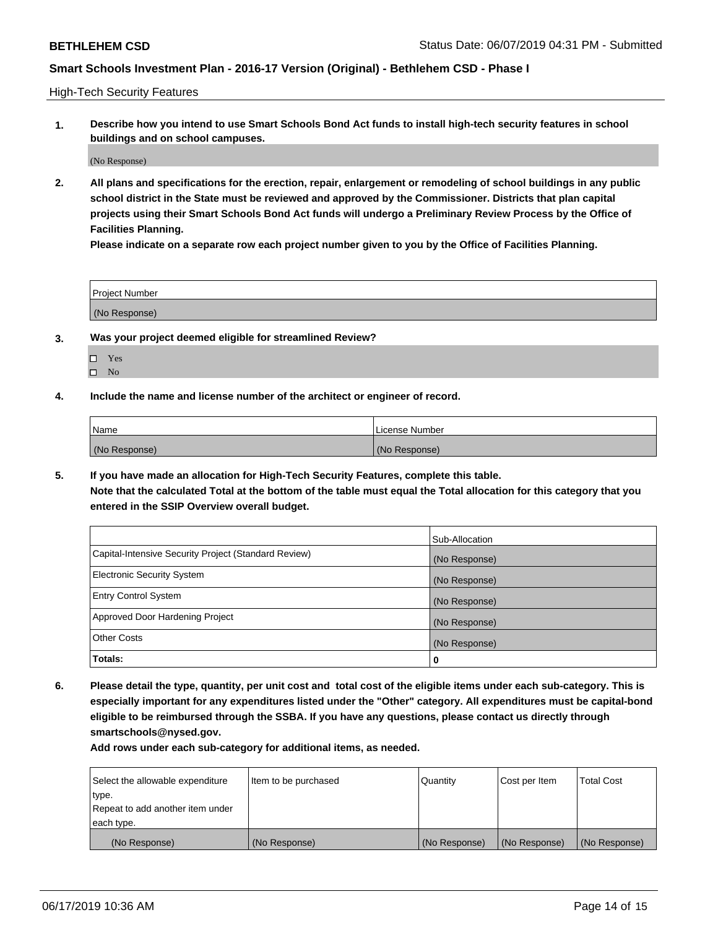High-Tech Security Features

**1. Describe how you intend to use Smart Schools Bond Act funds to install high-tech security features in school buildings and on school campuses.**

(No Response)

**2. All plans and specifications for the erection, repair, enlargement or remodeling of school buildings in any public school district in the State must be reviewed and approved by the Commissioner. Districts that plan capital projects using their Smart Schools Bond Act funds will undergo a Preliminary Review Process by the Office of Facilities Planning.** 

**Please indicate on a separate row each project number given to you by the Office of Facilities Planning.**

| <b>Project Number</b> |  |
|-----------------------|--|
| (No Response)         |  |

- **3. Was your project deemed eligible for streamlined Review?**
	- Yes
	- $\square$  No
- **4. Include the name and license number of the architect or engineer of record.**

| <b>Name</b>   | License Number |
|---------------|----------------|
| (No Response) | (No Response)  |

**5. If you have made an allocation for High-Tech Security Features, complete this table.**

**Note that the calculated Total at the bottom of the table must equal the Total allocation for this category that you entered in the SSIP Overview overall budget.**

|                                                      | Sub-Allocation |
|------------------------------------------------------|----------------|
| Capital-Intensive Security Project (Standard Review) | (No Response)  |
| <b>Electronic Security System</b>                    | (No Response)  |
| <b>Entry Control System</b>                          | (No Response)  |
| Approved Door Hardening Project                      | (No Response)  |
| <b>Other Costs</b>                                   | (No Response)  |
| Totals:                                              | 0              |

**6. Please detail the type, quantity, per unit cost and total cost of the eligible items under each sub-category. This is especially important for any expenditures listed under the "Other" category. All expenditures must be capital-bond eligible to be reimbursed through the SSBA. If you have any questions, please contact us directly through smartschools@nysed.gov.**

| Select the allowable expenditure | Item to be purchased | l Quantitv    | Cost per Item | <b>Total Cost</b> |
|----------------------------------|----------------------|---------------|---------------|-------------------|
| type.                            |                      |               |               |                   |
| Repeat to add another item under |                      |               |               |                   |
| each type.                       |                      |               |               |                   |
| (No Response)                    | (No Response)        | (No Response) | (No Response) | (No Response)     |